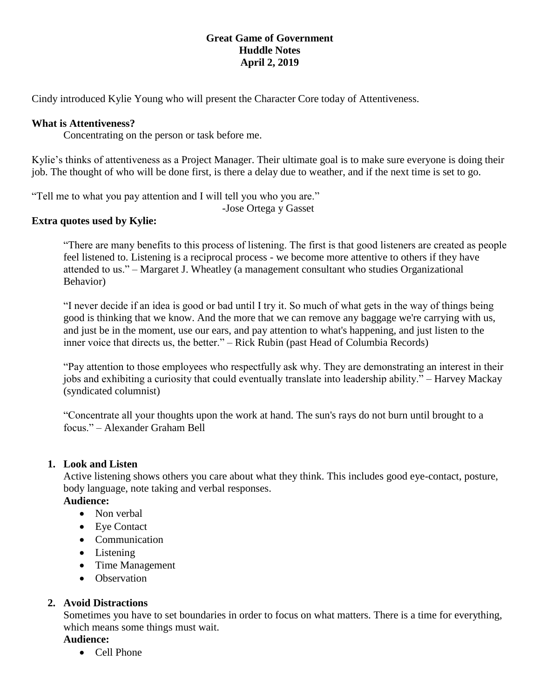## **Great Game of Government Huddle Notes April 2, 2019**

Cindy introduced Kylie Young who will present the Character Core today of Attentiveness.

### **What is Attentiveness?**

Concentrating on the person or task before me.

Kylie's thinks of attentiveness as a Project Manager. Their ultimate goal is to make sure everyone is doing their job. The thought of who will be done first, is there a delay due to weather, and if the next time is set to go.

"Tell me to what you pay attention and I will tell you who you are."

-Jose Ortega y Gasset

## **Extra quotes used by Kylie:**

"There are many benefits to this process of listening. The first is that good listeners are created as people feel listened to. Listening is a reciprocal process - we become more attentive to others if they have attended to us." – Margaret J. Wheatley (a management consultant who studies Organizational Behavior)

"I never decide if an idea is good or bad until I try it. So much of what gets in the way of things being good is thinking that we know. And the more that we can remove any baggage we're carrying with us, and just be in the moment, use our ears, and pay attention to what's happening, and just listen to the inner voice that directs us, the better." – Rick Rubin (past Head of Columbia Records)

"Pay attention to those employees who respectfully ask why. They are demonstrating an interest in their jobs and exhibiting a curiosity that could eventually translate into leadership ability." – Harvey Mackay (syndicated columnist)

"Concentrate all your thoughts upon the work at hand. The sun's rays do not burn until brought to a focus." – Alexander Graham Bell

#### **1. Look and Listen**

Active listening shows others you care about what they think. This includes good eye-contact, posture, body language, note taking and verbal responses.

#### **Audience:**

- Non verbal
- Eve Contact
- Communication
- Listening
- Time Management
- Observation

## **2. Avoid Distractions**

Sometimes you have to set boundaries in order to focus on what matters. There is a time for everything, which means some things must wait.

#### **Audience:**

• Cell Phone